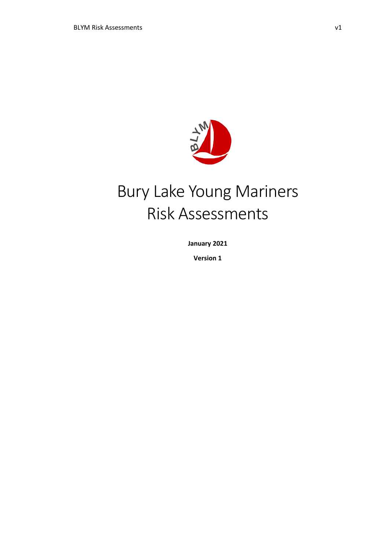

# Bury Lake Young Mariners Risk Assessments

**January 2021**

**Version 1**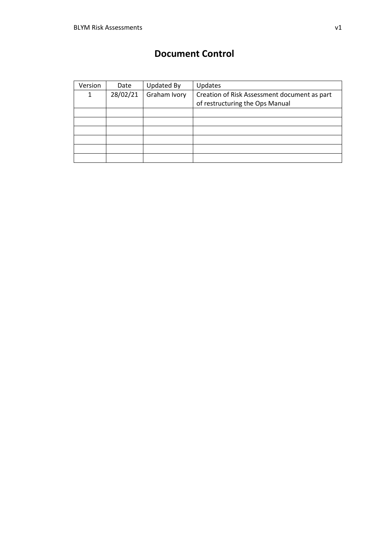## **Document Control**

| Version | Date     | <b>Updated By</b> | <b>Updates</b>                               |
|---------|----------|-------------------|----------------------------------------------|
| 1       | 28/02/21 | Graham Ivory      | Creation of Risk Assessment document as part |
|         |          |                   | of restructuring the Ops Manual              |
|         |          |                   |                                              |
|         |          |                   |                                              |
|         |          |                   |                                              |
|         |          |                   |                                              |
|         |          |                   |                                              |
|         |          |                   |                                              |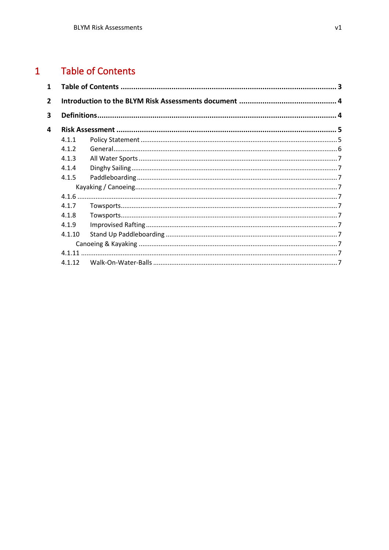#### <span id="page-2-0"></span> $\overline{1}$ **Table of Contents**

| 1            |        |  |
|--------------|--------|--|
| $\mathbf{2}$ |        |  |
| 3            |        |  |
| 4            |        |  |
|              | 4.1.1  |  |
|              | 4.1.2  |  |
|              | 4.1.3  |  |
|              | 4.1.4  |  |
|              | 4.1.5  |  |
|              |        |  |
|              |        |  |
|              | 4.1.7  |  |
|              | 4.1.8  |  |
|              | 4.1.9  |  |
|              | 4.1.10 |  |
|              |        |  |
|              | 4.1.11 |  |
|              | 4.1.12 |  |
|              |        |  |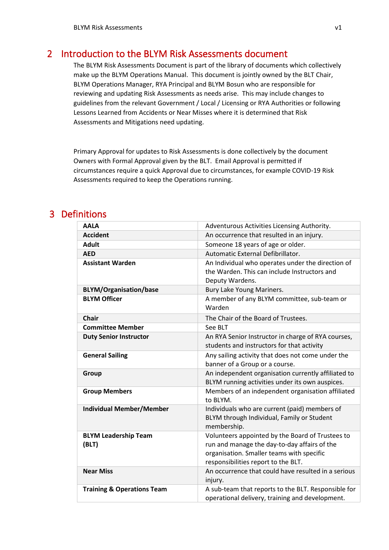## <span id="page-3-0"></span>2 Introduction to the BLYM Risk Assessments document

The BLYM Risk Assessments Document is part of the library of documents which collectively make up the BLYM Operations Manual. This document is jointly owned by the BLT Chair, BLYM Operations Manager, RYA Principal and BLYM Bosun who are responsible for reviewing and updating Risk Assessments as needs arise. This may include changes to guidelines from the relevant Government / Local / Licensing or RYA Authorities or following Lessons Learned from Accidents or Near Misses where it is determined that Risk Assessments and Mitigations need updating.

Primary Approval for updates to Risk Assessments is done collectively by the document Owners with Formal Approval given by the BLT. Email Approval is permitted if circumstances require a quick Approval due to circumstances, for example COVID-19 Risk Assessments required to keep the Operations running.

## <span id="page-3-1"></span>3 Definitions

| <b>AALA</b>                           | Adventurous Activities Licensing Authority.                                                                                                                                          |
|---------------------------------------|--------------------------------------------------------------------------------------------------------------------------------------------------------------------------------------|
| <b>Accident</b>                       | An occurrence that resulted in an injury.                                                                                                                                            |
| <b>Adult</b>                          | Someone 18 years of age or older.                                                                                                                                                    |
| <b>AED</b>                            | Automatic External Defibrillator.                                                                                                                                                    |
| <b>Assistant Warden</b>               | An Individual who operates under the direction of<br>the Warden. This can include Instructors and<br>Deputy Wardens.                                                                 |
| <b>BLYM/Organisation/base</b>         | Bury Lake Young Mariners.                                                                                                                                                            |
| <b>BLYM Officer</b>                   | A member of any BLYM committee, sub-team or<br>Warden                                                                                                                                |
| <b>Chair</b>                          | The Chair of the Board of Trustees.                                                                                                                                                  |
| <b>Committee Member</b>               | See BLT                                                                                                                                                                              |
| <b>Duty Senior Instructor</b>         | An RYA Senior Instructor in charge of RYA courses,<br>students and instructors for that activity                                                                                     |
| <b>General Sailing</b>                | Any sailing activity that does not come under the<br>banner of a Group or a course.                                                                                                  |
| Group                                 | An independent organisation currently affiliated to<br>BLYM running activities under its own auspices.                                                                               |
| <b>Group Members</b>                  | Members of an independent organisation affiliated<br>to BLYM.                                                                                                                        |
| <b>Individual Member/Member</b>       | Individuals who are current (paid) members of<br>BLYM through Individual, Family or Student<br>membership.                                                                           |
| <b>BLYM Leadership Team</b><br>(BLT)  | Volunteers appointed by the Board of Trustees to<br>run and manage the day-to-day affairs of the<br>organisation. Smaller teams with specific<br>responsibilities report to the BLT. |
| <b>Near Miss</b>                      | An occurrence that could have resulted in a serious<br>injury.                                                                                                                       |
| <b>Training &amp; Operations Team</b> | A sub-team that reports to the BLT. Responsible for<br>operational delivery, training and development.                                                                               |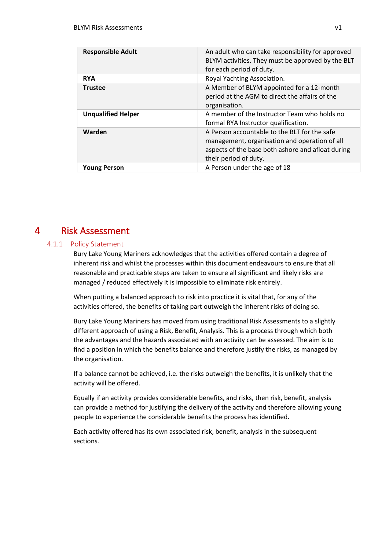| <b>Responsible Adult</b>  | An adult who can take responsibility for approved<br>BLYM activities. They must be approved by the BLT<br>for each period of duty.                                          |
|---------------------------|-----------------------------------------------------------------------------------------------------------------------------------------------------------------------------|
| <b>RYA</b>                | Royal Yachting Association.                                                                                                                                                 |
| <b>Trustee</b>            | A Member of BLYM appointed for a 12-month<br>period at the AGM to direct the affairs of the<br>organisation.                                                                |
| <b>Unqualified Helper</b> | A member of the Instructor Team who holds no<br>formal RYA Instructor qualification.                                                                                        |
| Warden                    | A Person accountable to the BLT for the safe<br>management, organisation and operation of all<br>aspects of the base both ashore and afloat during<br>their period of duty. |
| <b>Young Person</b>       | A Person under the age of 18                                                                                                                                                |

## <span id="page-4-0"></span>4 Risk Assessment

#### <span id="page-4-1"></span>4.1.1 Policy Statement

Bury Lake Young Mariners acknowledges that the activities offered contain a degree of inherent risk and whilst the processes within this document endeavours to ensure that all reasonable and practicable steps are taken to ensure all significant and likely risks are managed / reduced effectively it is impossible to eliminate risk entirely.

When putting a balanced approach to risk into practice it is vital that, for any of the activities offered, the benefits of taking part outweigh the inherent risks of doing so.

Bury Lake Young Mariners has moved from using traditional Risk Assessments to a slightly different approach of using a Risk, Benefit, Analysis. This is a process through which both the advantages and the hazards associated with an activity can be assessed. The aim is to find a position in which the benefits balance and therefore justify the risks, as managed by the organisation.

If a balance cannot be achieved, i.e. the risks outweigh the benefits, it is unlikely that the activity will be offered.

Equally if an activity provides considerable benefits, and risks, then risk, benefit, analysis can provide a method for justifying the delivery of the activity and therefore allowing young people to experience the considerable benefits the process has identified.

Each activity offered has its own associated risk, benefit, analysis in the subsequent sections.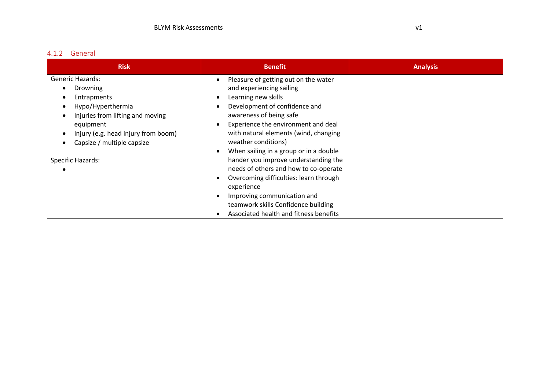#### 4.1.2 General

<span id="page-5-0"></span>

| <b>Risk</b>                                                                                                                                                                                   | <b>Benefit</b>                                                                                                                                                                                                                                                                                  | <b>Analysis</b> |
|-----------------------------------------------------------------------------------------------------------------------------------------------------------------------------------------------|-------------------------------------------------------------------------------------------------------------------------------------------------------------------------------------------------------------------------------------------------------------------------------------------------|-----------------|
| <b>Generic Hazards:</b><br>Drowning<br>Entrapments<br>Hypo/Hyperthermia<br>Injuries from lifting and moving<br>equipment<br>Injury (e.g. head injury from boom)<br>Capsize / multiple capsize | Pleasure of getting out on the water<br>and experiencing sailing<br>Learning new skills<br>Development of confidence and<br>awareness of being safe<br>Experience the environment and deal<br>with natural elements (wind, changing<br>weather conditions)                                      |                 |
| Specific Hazards:                                                                                                                                                                             | When sailing in a group or in a double<br>hander you improve understanding the<br>needs of others and how to co-operate<br>Overcoming difficulties: learn through<br>experience<br>Improving communication and<br>teamwork skills Confidence building<br>Associated health and fitness benefits |                 |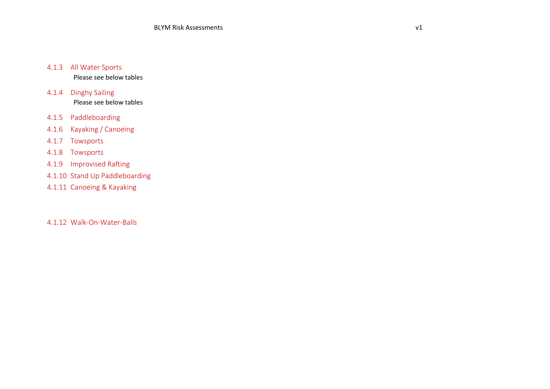#### 4.1.3 All Water Sports

Please see below tables

4.1.4 Dinghy Sailing Please see below tables

4.1.5 Paddleboarding

- 4.1.6 Kayaking / Canoeing
- 4.1.7 Towsports
- 4.1.8 Towsports
- 4.1.9 Improvised Rafting
- 4.1.10 Stand Up Paddleboarding
- 4.1.11 Canoeing & Kayaking

<span id="page-6-11"></span><span id="page-6-10"></span><span id="page-6-9"></span><span id="page-6-8"></span><span id="page-6-7"></span><span id="page-6-6"></span><span id="page-6-5"></span><span id="page-6-4"></span><span id="page-6-3"></span><span id="page-6-2"></span><span id="page-6-1"></span><span id="page-6-0"></span>4.1.12 Walk-On-Water-Balls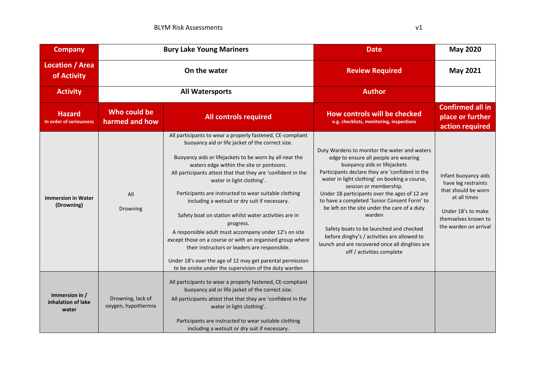| <b>Company</b>                                | <b>Bury Lake Young Mariners</b>          |                                                                                                                                                                                                                                                                                                                                                                                                                                                                                                                                                                                                                                                                                                                                                                                                 | <b>Date</b>                                                                                                                                                                                                                                                                                                                                                                                                                                                                                                                                                                             | <b>May 2020</b>                                                                                                                                          |
|-----------------------------------------------|------------------------------------------|-------------------------------------------------------------------------------------------------------------------------------------------------------------------------------------------------------------------------------------------------------------------------------------------------------------------------------------------------------------------------------------------------------------------------------------------------------------------------------------------------------------------------------------------------------------------------------------------------------------------------------------------------------------------------------------------------------------------------------------------------------------------------------------------------|-----------------------------------------------------------------------------------------------------------------------------------------------------------------------------------------------------------------------------------------------------------------------------------------------------------------------------------------------------------------------------------------------------------------------------------------------------------------------------------------------------------------------------------------------------------------------------------------|----------------------------------------------------------------------------------------------------------------------------------------------------------|
| <b>Location / Area</b><br>of Activity         | On the water                             |                                                                                                                                                                                                                                                                                                                                                                                                                                                                                                                                                                                                                                                                                                                                                                                                 | <b>Review Required</b>                                                                                                                                                                                                                                                                                                                                                                                                                                                                                                                                                                  | <b>May 2021</b>                                                                                                                                          |
| <b>Activity</b>                               | <b>All Watersports</b>                   |                                                                                                                                                                                                                                                                                                                                                                                                                                                                                                                                                                                                                                                                                                                                                                                                 | <b>Author</b>                                                                                                                                                                                                                                                                                                                                                                                                                                                                                                                                                                           |                                                                                                                                                          |
| <b>Hazard</b><br>In order of seriousness      | Who could be<br>harmed and how           | <b>All controls required</b>                                                                                                                                                                                                                                                                                                                                                                                                                                                                                                                                                                                                                                                                                                                                                                    | How controls will be checked<br>e.g. checklists, monitoring, inspections                                                                                                                                                                                                                                                                                                                                                                                                                                                                                                                | <b>Confirmed all in</b><br>place or further<br>action required                                                                                           |
| <b>Immersion in Water</b><br>(Drowning)       | All<br>Drowning                          | All participants to wear a properly fastened, CE-compliant<br>buoyancy aid or life jacket of the correct size.<br>Buoyancy aids or lifejackets to be worn by all near the<br>waters edge within the site or pontoons.<br>All participants attest that that they are 'confident in the<br>water in light clothing'.<br>Participants are instructed to wear suitable clothing<br>including a wetsuit or dry suit if necessary.<br>Safety boat on station whilst water activities are in<br>progress.<br>A responsible adult must accompany under 12's on site<br>except those on a course or with an organised group where<br>their instructors or leaders are responsible.<br>Under 18's over the age of 12 may get parental permission<br>to be onsite under the supervision of the duty warden | Duty Wardens to monitor the water and waters<br>edge to ensure all people are wearing<br>buoyancy aids or lifejackets<br>Participants declare they are 'confident in the<br>water in light clothing' on booking a course,<br>session or membership.<br>Under 18 participants over the ages of 12 are<br>to have a completed 'Junior Consent Form' to<br>be left on the site under the care of a duty<br>warden<br>Safety boats to be launched and checked<br>before dinghy's / activities are allowed to<br>launch and are recovered once all dinghies are<br>off / activities complete | Infant buoyancy aids<br>have leg restraints<br>that should be worn<br>at all times<br>Under 18's to make<br>themselves known to<br>the warden on arrival |
| Immersion in /<br>inhalation of lake<br>water | Drowning, lack of<br>oxygen, hypothermia | All participants to wear a properly fastened, CE-compliant<br>buoyancy aid or life jacket of the correct size.<br>All participants attest that that they are 'confident in the<br>water in light clothing'.<br>Participants are instructed to wear suitable clothing<br>including a wetsuit or dry suit if necessary.                                                                                                                                                                                                                                                                                                                                                                                                                                                                           |                                                                                                                                                                                                                                                                                                                                                                                                                                                                                                                                                                                         |                                                                                                                                                          |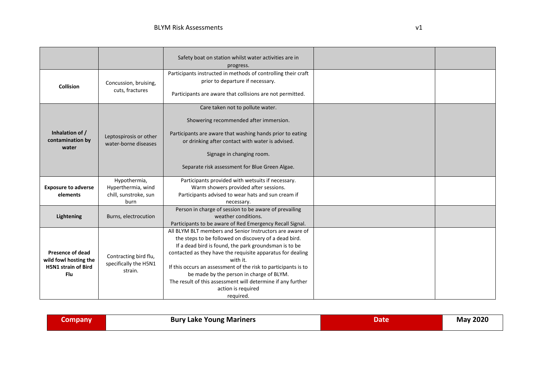|                            |                                                | Safety boat on station whilst water activities are in          |  |
|----------------------------|------------------------------------------------|----------------------------------------------------------------|--|
|                            |                                                | progress.                                                      |  |
|                            |                                                | Participants instructed in methods of controlling their craft  |  |
|                            | Concussion, bruising,                          | prior to departure if necessary.                               |  |
| <b>Collision</b>           | cuts, fractures                                | Participants are aware that collisions are not permitted.      |  |
|                            |                                                |                                                                |  |
|                            |                                                | Care taken not to pollute water.                               |  |
|                            |                                                | Showering recommended after immersion.                         |  |
| Inhalation of /            |                                                | Participants are aware that washing hands prior to eating      |  |
| contamination by           | Leptospirosis or other<br>water-borne diseases | or drinking after contact with water is advised.               |  |
| water                      |                                                | Signage in changing room.                                      |  |
|                            |                                                |                                                                |  |
|                            |                                                | Separate risk assessment for Blue Green Algae.                 |  |
|                            | Hypothermia,                                   | Participants provided with wetsuits if necessary.              |  |
| <b>Exposure to adverse</b> | Hyperthermia, wind                             | Warm showers provided after sessions.                          |  |
| elements                   | chill, sunstroke, sun                          | Participants advised to wear hats and sun cream if             |  |
|                            | burn                                           | necessary.                                                     |  |
|                            |                                                | Person in charge of session to be aware of prevailing          |  |
| <b>Lightening</b>          | Burns, electrocution                           | weather conditions.                                            |  |
|                            |                                                | Participants to be aware of Red Emergency Recall Signal.       |  |
|                            |                                                | All BLYM BLT members and Senior Instructors are aware of       |  |
|                            |                                                | the steps to be followed on discovery of a dead bird.          |  |
|                            |                                                | If a dead bird is found, the park groundsman is to be          |  |
| <b>Presence of dead</b>    |                                                | contacted as they have the requisite apparatus for dealing     |  |
| wild fowl hosting the      | Contracting bird flu,<br>specifically the H5N1 | with it.                                                       |  |
| <b>H5N1 strain of Bird</b> | strain.                                        | If this occurs an assessment of the risk to participants is to |  |
| Flu                        |                                                | be made by the person in charge of BLYM.                       |  |
|                            |                                                | The result of this assessment will determine if any further    |  |
|                            |                                                | action is required                                             |  |
|                            |                                                | required.                                                      |  |

| <b>May 2020</b><br><b>Bury Lake Young Mariners</b><br><b>company</b><br>Date |
|------------------------------------------------------------------------------|
|------------------------------------------------------------------------------|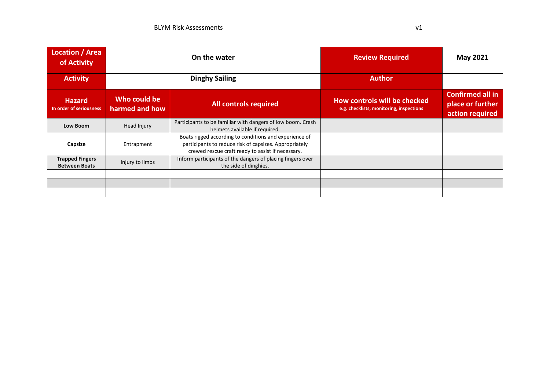| Location / Area<br>of Activity                 | On the water                   |                                                                                                                                                                       | <b>Review Required</b>                                                   | May 2021                                                       |
|------------------------------------------------|--------------------------------|-----------------------------------------------------------------------------------------------------------------------------------------------------------------------|--------------------------------------------------------------------------|----------------------------------------------------------------|
| <b>Activity</b>                                | <b>Dinghy Sailing</b>          |                                                                                                                                                                       | <b>Author</b>                                                            |                                                                |
| <b>Hazard</b><br>In order of seriousness       | Who could be<br>harmed and how | <b>All controls required</b>                                                                                                                                          | How controls will be checked<br>e.g. checklists, monitoring, inspections | <b>Confirmed all in</b><br>place or further<br>action required |
| <b>Low Boom</b>                                | Head Injury                    | Participants to be familiar with dangers of low boom. Crash<br>helmets available if required.                                                                         |                                                                          |                                                                |
| Capsize                                        | Entrapment                     | Boats rigged according to conditions and experience of<br>participants to reduce risk of capsizes. Appropriately<br>crewed rescue craft ready to assist if necessary. |                                                                          |                                                                |
| <b>Trapped Fingers</b><br><b>Between Boats</b> | Injury to limbs                | Inform participants of the dangers of placing fingers over<br>the side of dinghies.                                                                                   |                                                                          |                                                                |
|                                                |                                |                                                                                                                                                                       |                                                                          |                                                                |
|                                                |                                |                                                                                                                                                                       |                                                                          |                                                                |
|                                                |                                |                                                                                                                                                                       |                                                                          |                                                                |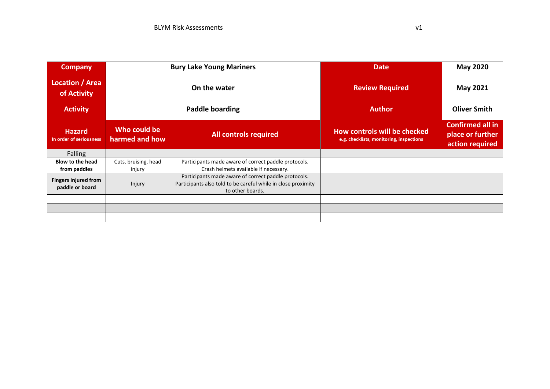| <b>Company</b>                                 |                                | <b>Bury Lake Young Mariners</b>                                                                                                           | <b>Date</b>                                                              | <b>May 2020</b>                                                |
|------------------------------------------------|--------------------------------|-------------------------------------------------------------------------------------------------------------------------------------------|--------------------------------------------------------------------------|----------------------------------------------------------------|
| Location / Area<br>of Activity                 | On the water                   |                                                                                                                                           | <b>Review Required</b>                                                   | <b>May 2021</b>                                                |
| <b>Activity</b>                                | <b>Paddle boarding</b>         |                                                                                                                                           | <b>Author</b>                                                            | <b>Oliver Smith</b>                                            |
| <b>Hazard</b><br>In order of seriousness       | Who could be<br>harmed and how | <b>All controls required</b>                                                                                                              | How controls will be checked<br>e.g. checklists, monitoring, inspections | <b>Confirmed all in</b><br>place or further<br>action required |
| <b>Falling</b>                                 |                                |                                                                                                                                           |                                                                          |                                                                |
| <b>Blow to the head</b><br>from paddles        | Cuts, bruising, head<br>injury | Participants made aware of correct paddle protocols.<br>Crash helmets available if necessary.                                             |                                                                          |                                                                |
| <b>Fingers injured from</b><br>paddle or board | Injury                         | Participants made aware of correct paddle protocols.<br>Participants also told to be careful while in close proximity<br>to other boards. |                                                                          |                                                                |
|                                                |                                |                                                                                                                                           |                                                                          |                                                                |
|                                                |                                |                                                                                                                                           |                                                                          |                                                                |
|                                                |                                |                                                                                                                                           |                                                                          |                                                                |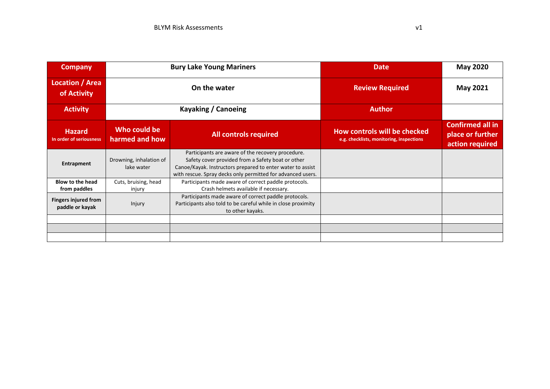| <b>Company</b>                                 |                                       | <b>Bury Lake Young Mariners</b>                                                                                                                                                                                                     | <b>Date</b>                                                              | <b>May 2020</b>                                                |
|------------------------------------------------|---------------------------------------|-------------------------------------------------------------------------------------------------------------------------------------------------------------------------------------------------------------------------------------|--------------------------------------------------------------------------|----------------------------------------------------------------|
| Location / Area<br>of Activity                 | On the water                          |                                                                                                                                                                                                                                     | <b>Review Required</b>                                                   | <b>May 2021</b>                                                |
| <b>Activity</b>                                | Kayaking / Canoeing                   |                                                                                                                                                                                                                                     | <b>Author</b>                                                            |                                                                |
| <b>Hazard</b><br>In order of seriousness       | Who could be<br>harmed and how        | <b>All controls required</b>                                                                                                                                                                                                        | How controls will be checked<br>e.g. checklists, monitoring, inspections | <b>Confirmed all in</b><br>place or further<br>action required |
| Entrapment                                     | Drowning, inhalation of<br>lake water | Participants are aware of the recovery procedure.<br>Safety cover provided from a Safety boat or other<br>Canoe/Kayak. Instructors prepared to enter water to assist<br>with rescue. Spray decks only permitted for advanced users. |                                                                          |                                                                |
| <b>Blow to the head</b><br>from paddles        | Cuts, bruising, head<br>injury        | Participants made aware of correct paddle protocols.<br>Crash helmets available if necessary.                                                                                                                                       |                                                                          |                                                                |
| <b>Fingers injured from</b><br>paddle or kayak | Injury                                | Participants made aware of correct paddle protocols.<br>Participants also told to be careful while in close proximity<br>to other kayaks.                                                                                           |                                                                          |                                                                |
|                                                |                                       |                                                                                                                                                                                                                                     |                                                                          |                                                                |
|                                                |                                       |                                                                                                                                                                                                                                     |                                                                          |                                                                |
|                                                |                                       |                                                                                                                                                                                                                                     |                                                                          |                                                                |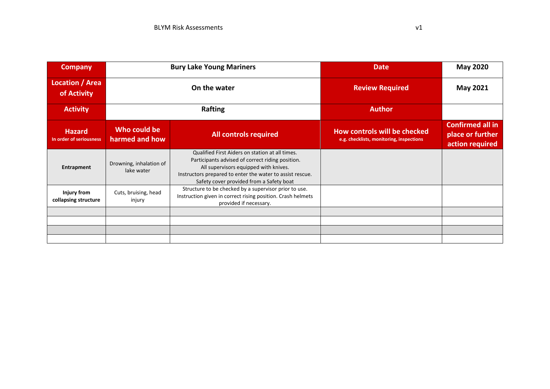| <b>Company</b>                             | <b>Bury Lake Young Mariners</b>       |                                                                                                                                                                                                                                                       | <b>Date</b>                                                              | <b>May 2020</b>                                                |
|--------------------------------------------|---------------------------------------|-------------------------------------------------------------------------------------------------------------------------------------------------------------------------------------------------------------------------------------------------------|--------------------------------------------------------------------------|----------------------------------------------------------------|
| Location / Area<br>of Activity             | On the water                          |                                                                                                                                                                                                                                                       | <b>Review Required</b>                                                   | <b>May 2021</b>                                                |
| <b>Activity</b>                            | Rafting                               |                                                                                                                                                                                                                                                       | <b>Author</b>                                                            |                                                                |
| <b>Hazard</b><br>In order of seriousness   | Who could be<br>harmed and how        | <b>All controls required</b>                                                                                                                                                                                                                          | How controls will be checked<br>e.g. checklists, monitoring, inspections | <b>Confirmed all in</b><br>place or further<br>action required |
| Entrapment                                 | Drowning, inhalation of<br>lake water | Qualified First Aiders on station at all times.<br>Participants advised of correct riding position.<br>All supervisors equipped with knives.<br>Instructors prepared to enter the water to assist rescue.<br>Safety cover provided from a Safety boat |                                                                          |                                                                |
| <b>Injury from</b><br>collapsing structure | Cuts, bruising, head<br>injury        | Structure to be checked by a supervisor prior to use.<br>Instruction given in correct rising position. Crash helmets<br>provided if necessary.                                                                                                        |                                                                          |                                                                |
|                                            |                                       |                                                                                                                                                                                                                                                       |                                                                          |                                                                |
|                                            |                                       |                                                                                                                                                                                                                                                       |                                                                          |                                                                |
|                                            |                                       |                                                                                                                                                                                                                                                       |                                                                          |                                                                |
|                                            |                                       |                                                                                                                                                                                                                                                       |                                                                          |                                                                |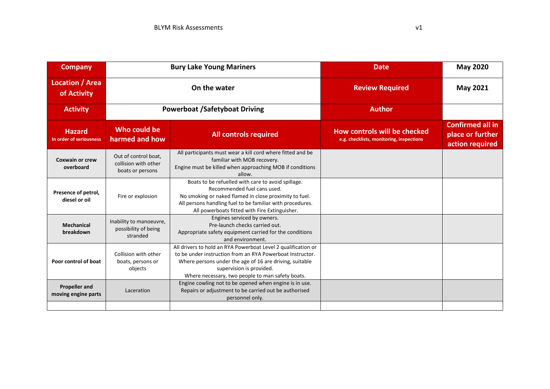| <b>Company</b>                              | <b>Bury Lake Young Mariners</b>                                  |                                                                                                                                                                                                                                                                       | <b>Date</b>                                                              | <b>May 2020</b>                                                |
|---------------------------------------------|------------------------------------------------------------------|-----------------------------------------------------------------------------------------------------------------------------------------------------------------------------------------------------------------------------------------------------------------------|--------------------------------------------------------------------------|----------------------------------------------------------------|
| Location / Area<br>of Activity              |                                                                  | On the water                                                                                                                                                                                                                                                          | <b>Review Required</b>                                                   | <b>May 2021</b>                                                |
| <b>Activity</b>                             |                                                                  | <b>Powerboat /Safetyboat Driving</b>                                                                                                                                                                                                                                  | <b>Author</b>                                                            |                                                                |
| <b>Hazard</b><br>In order of seriousness    | Who could be<br>harmed and how                                   | <b>All controls required</b>                                                                                                                                                                                                                                          | How controls will be checked<br>e.g. checklists, monitoring, inspections | <b>Confirmed all in</b><br>place or further<br>action required |
| <b>Coxwain or crew</b><br>overboard         | Out of control boat,<br>collision with other<br>boats or persons | All participants must wear a kill cord where fitted and be<br>familiar with MOB recovery.<br>Engine must be killed when approaching MOB if conditions<br>allow.                                                                                                       |                                                                          |                                                                |
| Presence of petrol,<br>diesel or oil        | Fire or explosion                                                | Boats to be refuelled with care to avoid spillage.<br>Recommended fuel cans used.<br>No smoking or naked flamed in close proximity to fuel.<br>All persons handling fuel to be familiar with procedures.<br>All powerboats fitted with Fire Extinguisher.             |                                                                          |                                                                |
| <b>Mechanical</b><br>breakdown              | Inability to manoeuvre,<br>possibility of being<br>stranded      | Engines serviced by owners.<br>Pre-launch checks carried out.<br>Appropriate safety equipment carried for the conditions<br>and environment.                                                                                                                          |                                                                          |                                                                |
| Poor control of boat                        | Collision with other<br>boats, persons or<br>objects             | All drivers to hold an RYA Powerboat Level 2 qualification or<br>to be under instruction from an RYA Powerboat Instructor.<br>Where persons under the age of 16 are driving, suitable<br>supervision is provided.<br>Where necessary, two people to man safety boats. |                                                                          |                                                                |
| <b>Propeller and</b><br>moving engine parts | Laceration                                                       | Engine cowling not to be opened when engine is in use.<br>Repairs or adjustment to be carried out be authorised<br>personnel only.                                                                                                                                    |                                                                          |                                                                |
|                                             |                                                                  |                                                                                                                                                                                                                                                                       |                                                                          |                                                                |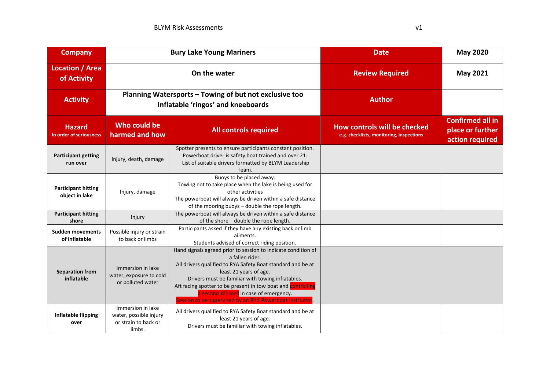| <b>Company</b>                               |                                                                               | <b>Bury Lake Young Mariners</b>                                                                                                                                                                                                                                                                                                                                                                        | <b>Date</b>                                                              | <b>May 2020</b>                                                |
|----------------------------------------------|-------------------------------------------------------------------------------|--------------------------------------------------------------------------------------------------------------------------------------------------------------------------------------------------------------------------------------------------------------------------------------------------------------------------------------------------------------------------------------------------------|--------------------------------------------------------------------------|----------------------------------------------------------------|
| <b>Location / Area</b><br>of Activity        |                                                                               | On the water                                                                                                                                                                                                                                                                                                                                                                                           | <b>Review Required</b>                                                   | <b>May 2021</b>                                                |
| <b>Activity</b>                              |                                                                               | Planning Watersports - Towing of but not exclusive too<br>Inflatable 'ringos' and kneeboards                                                                                                                                                                                                                                                                                                           | <b>Author</b>                                                            |                                                                |
| <b>Hazard</b><br>In order of seriousness     | Who could be<br>harmed and how                                                | <b>All controls required</b>                                                                                                                                                                                                                                                                                                                                                                           | How controls will be checked<br>e.g. checklists, monitoring, inspections | <b>Confirmed all in</b><br>place or further<br>action required |
| <b>Participant getting</b><br>run over       | Injury, death, damage                                                         | Spotter presents to ensure participants constant position.<br>Powerboat driver is safety boat trained and over 21.<br>List of suitable drivers formatted by BLYM Leadership<br>Team.                                                                                                                                                                                                                   |                                                                          |                                                                |
| <b>Participant hitting</b><br>object in lake | Injury, damage                                                                | Buoys to be placed away.<br>Towing not to take place when the lake is being used for<br>other activities<br>The powerboat will always be driven within a safe distance<br>of the mooring buoys - double the rope length.                                                                                                                                                                               |                                                                          |                                                                |
| <b>Participant hitting</b><br>shore          | Injury                                                                        | The powerboat will always be driven within a safe distance<br>of the shore - double the rope length.                                                                                                                                                                                                                                                                                                   |                                                                          |                                                                |
| <b>Sudden movements</b><br>of inflatable     | Possible injury or strain<br>to back or limbs                                 | Participants asked if they have any existing back or limb<br>ailments.<br>Students advised of correct riding position.                                                                                                                                                                                                                                                                                 |                                                                          |                                                                |
| <b>Separation from</b><br>inflatable         | Immersion in lake<br>water, exposure to cold<br>or polluted water             | Hand signals agreed prior to session to indicate condition of<br>a fallen rider.<br>All drivers qualified to RYA Safety Boat standard and be at<br>least 21 years of age.<br>Drivers must be familiar with towing inflatables.<br>Aft facing spotter to be present in tow boat and controlling<br>a second kill cord in case of emergency.<br>Session to be supervised by an RYA Powerboat Instructor. |                                                                          |                                                                |
| <b>Inflatable flipping</b><br>over           | Immersion in lake<br>water, possible injury<br>or strain to back or<br>limbs. | All drivers qualified to RYA Safety Boat standard and be at<br>least 21 years of age.<br>Drivers must be familiar with towing inflatables.                                                                                                                                                                                                                                                             |                                                                          |                                                                |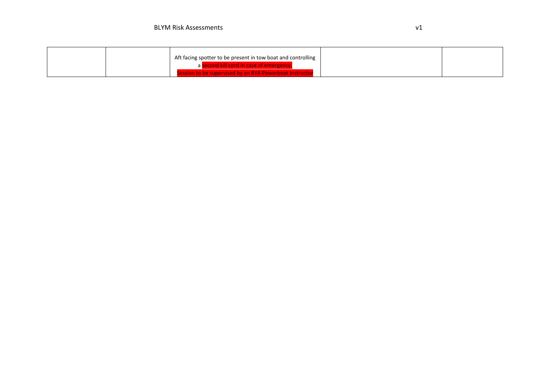|  | Aft facing spotter to be present in tow boat and controlling |  |
|--|--------------------------------------------------------------|--|
|  | a second kill cord in case of emergency.                     |  |
|  | ession to be supervised by an RYA Powerboat Instructor       |  |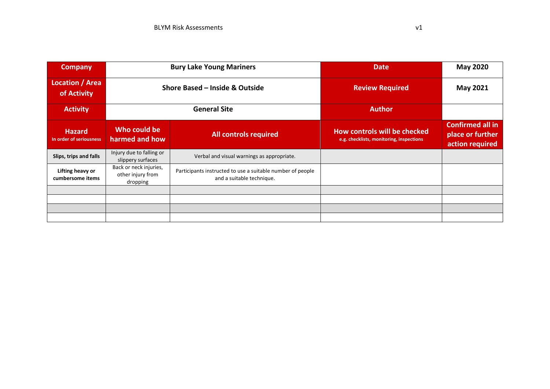| <b>Company</b>                           |                                                         | <b>Bury Lake Young Mariners</b>                                                         | <b>Date</b>                                                              | <b>May 2020</b>                                                |
|------------------------------------------|---------------------------------------------------------|-----------------------------------------------------------------------------------------|--------------------------------------------------------------------------|----------------------------------------------------------------|
| Location / Area<br>of Activity           | Shore Based - Inside & Outside                          |                                                                                         | <b>Review Required</b>                                                   | <b>May 2021</b>                                                |
| <b>Activity</b>                          | <b>General Site</b>                                     |                                                                                         | <b>Author</b>                                                            |                                                                |
| <b>Hazard</b><br>In order of seriousness | Who could be<br>harmed and how                          | <b>All controls required</b>                                                            | How controls will be checked<br>e.g. checklists, monitoring, inspections | <b>Confirmed all in</b><br>place or further<br>action required |
| Slips, trips and falls                   | Injury due to falling or<br>slippery surfaces           | Verbal and visual warnings as appropriate.                                              |                                                                          |                                                                |
| Lifting heavy or<br>cumbersome items     | Back or neck injuries,<br>other injury from<br>dropping | Participants instructed to use a suitable number of people<br>and a suitable technique. |                                                                          |                                                                |
|                                          |                                                         |                                                                                         |                                                                          |                                                                |
|                                          |                                                         |                                                                                         |                                                                          |                                                                |
|                                          |                                                         |                                                                                         |                                                                          |                                                                |
|                                          |                                                         |                                                                                         |                                                                          |                                                                |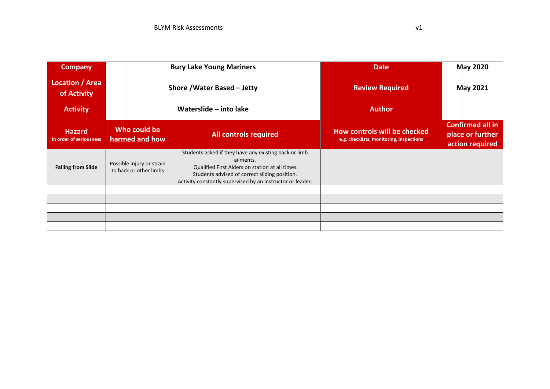| <b>Company</b>                           |                                                     | <b>Bury Lake Young Mariners</b>                                                                                                                                                                                                      | <b>Date</b>                                                              | <b>May 2020</b>                                                |
|------------------------------------------|-----------------------------------------------------|--------------------------------------------------------------------------------------------------------------------------------------------------------------------------------------------------------------------------------------|--------------------------------------------------------------------------|----------------------------------------------------------------|
| Location / Area<br>of Activity           | Shore / Water Based - Jetty                         |                                                                                                                                                                                                                                      | <b>Review Required</b>                                                   | <b>May 2021</b>                                                |
| <b>Activity</b>                          | Waterslide - into lake                              |                                                                                                                                                                                                                                      | <b>Author</b>                                                            |                                                                |
| <b>Hazard</b><br>In order of seriousness | Who could be<br>harmed and how                      | <b>All controls required</b>                                                                                                                                                                                                         | How controls will be checked<br>e.g. checklists, monitoring, inspections | <b>Confirmed all in</b><br>place or further<br>action required |
| <b>Falling from Slide</b>                | Possible injury or strain<br>to back or other limbs | Students asked if they have any existing back or limb<br>ailments.<br>Qualified First Aiders on station at all times.<br>Students advised of correct sliding position.<br>Activity constantly supervised by an instructor or leader. |                                                                          |                                                                |
|                                          |                                                     |                                                                                                                                                                                                                                      |                                                                          |                                                                |
|                                          |                                                     |                                                                                                                                                                                                                                      |                                                                          |                                                                |
|                                          |                                                     |                                                                                                                                                                                                                                      |                                                                          |                                                                |
|                                          |                                                     |                                                                                                                                                                                                                                      |                                                                          |                                                                |
|                                          |                                                     |                                                                                                                                                                                                                                      |                                                                          |                                                                |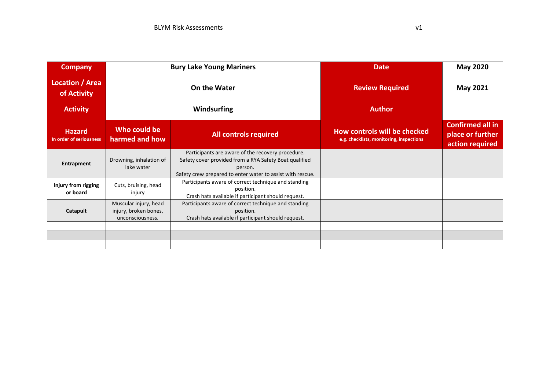| <b>Company</b>                           | <b>Bury Lake Young Mariners</b>                                    |                                                                                                                                                                                      | <b>Date</b>                                                              | <b>May 2020</b>                                         |
|------------------------------------------|--------------------------------------------------------------------|--------------------------------------------------------------------------------------------------------------------------------------------------------------------------------------|--------------------------------------------------------------------------|---------------------------------------------------------|
| Location / Area<br>of Activity           | On the Water                                                       |                                                                                                                                                                                      | <b>Review Required</b>                                                   | <b>May 2021</b>                                         |
| <b>Activity</b>                          |                                                                    | Windsurfing                                                                                                                                                                          | <b>Author</b>                                                            |                                                         |
| <b>Hazard</b><br>In order of seriousness | Who could be<br>harmed and how                                     | <b>All controls required</b>                                                                                                                                                         | How controls will be checked<br>e.g. checklists, monitoring, inspections | Confirmed all in<br>place or further<br>action required |
| Entrapment                               | Drowning, inhalation of<br>lake water                              | Participants are aware of the recovery procedure.<br>Safety cover provided from a RYA Safety Boat qualified<br>person.<br>Safety crew prepared to enter water to assist with rescue. |                                                                          |                                                         |
| Injury from rigging<br>or board          | Cuts, bruising, head<br>injury                                     | Participants aware of correct technique and standing<br>position.<br>Crash hats available if participant should request.                                                             |                                                                          |                                                         |
| Catapult                                 | Muscular injury, head<br>injury, broken bones,<br>unconsciousness. | Participants aware of correct technique and standing<br>position.<br>Crash hats available if participant should request.                                                             |                                                                          |                                                         |
|                                          |                                                                    |                                                                                                                                                                                      |                                                                          |                                                         |
|                                          |                                                                    |                                                                                                                                                                                      |                                                                          |                                                         |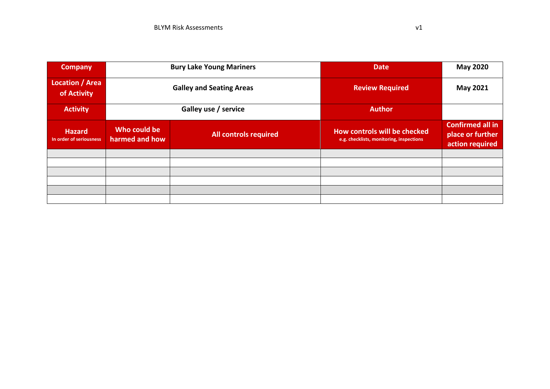| <b>Company</b>                           | <b>Bury Lake Young Mariners</b> |                              | <b>Date</b>                                                              | <b>May 2020</b>                                                |
|------------------------------------------|---------------------------------|------------------------------|--------------------------------------------------------------------------|----------------------------------------------------------------|
| <b>Location / Area</b><br>of Activity    | <b>Galley and Seating Areas</b> |                              | <b>Review Required</b>                                                   | May 2021                                                       |
| <b>Activity</b>                          | Galley use / service            |                              | <b>Author</b>                                                            |                                                                |
| <b>Hazard</b><br>In order of seriousness | Who could be<br>harmed and how  | <b>All controls required</b> | How controls will be checked<br>e.g. checklists, monitoring, inspections | <b>Confirmed all in</b><br>place or further<br>action required |
|                                          |                                 |                              |                                                                          |                                                                |
|                                          |                                 |                              |                                                                          |                                                                |
|                                          |                                 |                              |                                                                          |                                                                |
|                                          |                                 |                              |                                                                          |                                                                |
|                                          |                                 |                              |                                                                          |                                                                |
|                                          |                                 |                              |                                                                          |                                                                |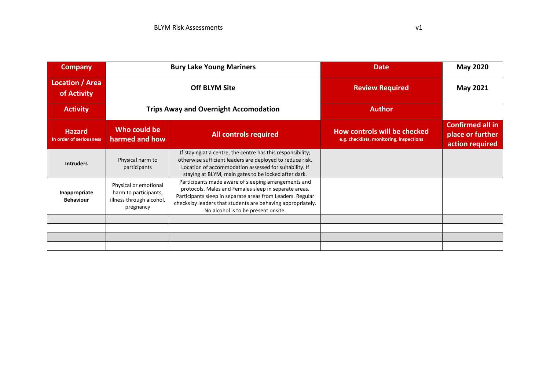| <b>Company</b>                           |                                                                                         | <b>Bury Lake Young Mariners</b>                                                                                                                                                                                                                                                   | <b>Date</b>                                                              | <b>May 2020</b>                                                |
|------------------------------------------|-----------------------------------------------------------------------------------------|-----------------------------------------------------------------------------------------------------------------------------------------------------------------------------------------------------------------------------------------------------------------------------------|--------------------------------------------------------------------------|----------------------------------------------------------------|
| Location / Area<br>of Activity           | <b>Off BLYM Site</b>                                                                    |                                                                                                                                                                                                                                                                                   | <b>Review Required</b>                                                   | <b>May 2021</b>                                                |
| <b>Activity</b>                          |                                                                                         | <b>Trips Away and Overnight Accomodation</b>                                                                                                                                                                                                                                      | <b>Author</b>                                                            |                                                                |
| <b>Hazard</b><br>In order of seriousness | Who could be<br>harmed and how                                                          | <b>All controls required</b>                                                                                                                                                                                                                                                      | How controls will be checked<br>e.g. checklists, monitoring, inspections | <b>Confirmed all in</b><br>place or further<br>action required |
| <b>Intruders</b>                         | Physical harm to<br>participants                                                        | If staying at a centre, the centre has this responsibility;<br>otherwise sufficient leaders are deployed to reduce risk.<br>Location of accommodation assessed for suitability. If<br>staying at BLYM, main gates to be locked after dark.                                        |                                                                          |                                                                |
| Inappropriate<br><b>Behaviour</b>        | Physical or emotional<br>harm to participants,<br>illness through alcohol,<br>pregnancy | Participants made aware of sleeping arrangements and<br>protocols. Males and Females sleep in separate areas.<br>Participants sleep in separate areas from Leaders. Regular<br>checks by leaders that students are behaving appropriately.<br>No alcohol is to be present onsite. |                                                                          |                                                                |
|                                          |                                                                                         |                                                                                                                                                                                                                                                                                   |                                                                          |                                                                |
|                                          |                                                                                         |                                                                                                                                                                                                                                                                                   |                                                                          |                                                                |
|                                          |                                                                                         |                                                                                                                                                                                                                                                                                   |                                                                          |                                                                |
|                                          |                                                                                         |                                                                                                                                                                                                                                                                                   |                                                                          |                                                                |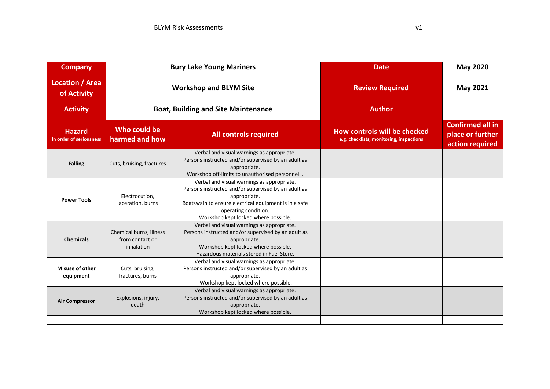| <b>Company</b>                           | <b>Bury Lake Young Mariners</b>                          |                                                                                                                                                                                                                                            | <b>Date</b>                                                              | <b>May 2020</b>                                                |
|------------------------------------------|----------------------------------------------------------|--------------------------------------------------------------------------------------------------------------------------------------------------------------------------------------------------------------------------------------------|--------------------------------------------------------------------------|----------------------------------------------------------------|
| <b>Location / Area</b><br>of Activity    |                                                          | <b>Workshop and BLYM Site</b>                                                                                                                                                                                                              | <b>Review Required</b>                                                   | <b>May 2021</b>                                                |
| <b>Activity</b>                          |                                                          | <b>Boat, Building and Site Maintenance</b>                                                                                                                                                                                                 | <b>Author</b>                                                            |                                                                |
| <b>Hazard</b><br>In order of seriousness | Who could be<br>harmed and how                           | <b>All controls required</b>                                                                                                                                                                                                               | How controls will be checked<br>e.g. checklists, monitoring, inspections | <b>Confirmed all in</b><br>place or further<br>action required |
| <b>Falling</b>                           | Cuts, bruising, fractures                                | Verbal and visual warnings as appropriate.<br>Persons instructed and/or supervised by an adult as<br>appropriate.<br>Workshop off-limits to unauthorised personnel. .                                                                      |                                                                          |                                                                |
| <b>Power Tools</b>                       | Electrocution,<br>laceration, burns                      | Verbal and visual warnings as appropriate.<br>Persons instructed and/or supervised by an adult as<br>appropriate.<br>Boatswain to ensure electrical equipment is in a safe<br>operating condition.<br>Workshop kept locked where possible. |                                                                          |                                                                |
| <b>Chemicals</b>                         | Chemical burns, illness<br>from contact or<br>inhalation | Verbal and visual warnings as appropriate.<br>Persons instructed and/or supervised by an adult as<br>appropriate.<br>Workshop kept locked where possible.<br>Hazardous materials stored in Fuel Store.                                     |                                                                          |                                                                |
| <b>Misuse of other</b><br>equipment      | Cuts, bruising,<br>fractures, burns                      | Verbal and visual warnings as appropriate.<br>Persons instructed and/or supervised by an adult as<br>appropriate.<br>Workshop kept locked where possible.                                                                                  |                                                                          |                                                                |
| <b>Air Compressor</b>                    | Explosions, injury,<br>death                             | Verbal and visual warnings as appropriate.<br>Persons instructed and/or supervised by an adult as<br>appropriate.<br>Workshop kept locked where possible.                                                                                  |                                                                          |                                                                |
|                                          |                                                          |                                                                                                                                                                                                                                            |                                                                          |                                                                |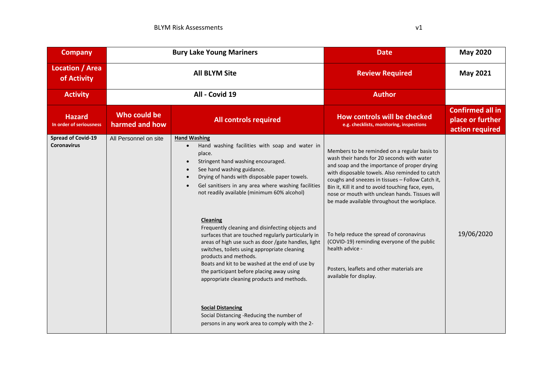| <b>Company</b>                                  |                                | <b>Bury Lake Young Mariners</b>                                                                                                                                                                                                                                                                                                                                                                   | <b>Date</b>                                                                                                                                                                                                                                                                                                                                                                                            | <b>May 2020</b>                                                |
|-------------------------------------------------|--------------------------------|---------------------------------------------------------------------------------------------------------------------------------------------------------------------------------------------------------------------------------------------------------------------------------------------------------------------------------------------------------------------------------------------------|--------------------------------------------------------------------------------------------------------------------------------------------------------------------------------------------------------------------------------------------------------------------------------------------------------------------------------------------------------------------------------------------------------|----------------------------------------------------------------|
| <b>Location / Area</b><br>of Activity           |                                | <b>All BLYM Site</b>                                                                                                                                                                                                                                                                                                                                                                              | <b>Review Required</b>                                                                                                                                                                                                                                                                                                                                                                                 | May 2021                                                       |
| <b>Activity</b>                                 |                                | All - Covid 19                                                                                                                                                                                                                                                                                                                                                                                    | <b>Author</b>                                                                                                                                                                                                                                                                                                                                                                                          |                                                                |
| <b>Hazard</b><br>In order of seriousness        | Who could be<br>harmed and how | <b>All controls required</b>                                                                                                                                                                                                                                                                                                                                                                      | How controls will be checked<br>e.g. checklists, monitoring, inspections                                                                                                                                                                                                                                                                                                                               | <b>Confirmed all in</b><br>place or further<br>action required |
| <b>Spread of Covid-19</b><br><b>Coronavirus</b> | All Personnel on site          | <b>Hand Washing</b><br>Hand washing facilities with soap and water in<br>$\bullet$<br>place.<br>Stringent hand washing encouraged.<br>$\bullet$<br>See hand washing guidance.<br>$\bullet$<br>Drying of hands with disposable paper towels.<br>Gel sanitisers in any area where washing facilities<br>not readily available (minimum 60% alcohol)                                                 | Members to be reminded on a regular basis to<br>wash their hands for 20 seconds with water<br>and soap and the importance of proper drying<br>with disposable towels. Also reminded to catch<br>coughs and sneezes in tissues - Follow Catch it,<br>Bin it, Kill it and to avoid touching face, eyes,<br>nose or mouth with unclean hands. Tissues will<br>be made available throughout the workplace. |                                                                |
|                                                 |                                | Cleaning<br>Frequently cleaning and disinfecting objects and<br>surfaces that are touched regularly particularly in<br>areas of high use such as door /gate handles, light<br>switches, toilets using appropriate cleaning<br>products and methods.<br>Boats and kit to be washed at the end of use by<br>the participant before placing away using<br>appropriate cleaning products and methods. | To help reduce the spread of coronavirus<br>(COVID-19) reminding everyone of the public<br>health advice -<br>Posters, leaflets and other materials are<br>available for display.                                                                                                                                                                                                                      | 19/06/2020                                                     |
|                                                 |                                | <b>Social Distancing</b><br>Social Distancing -Reducing the number of<br>persons in any work area to comply with the 2-                                                                                                                                                                                                                                                                           |                                                                                                                                                                                                                                                                                                                                                                                                        |                                                                |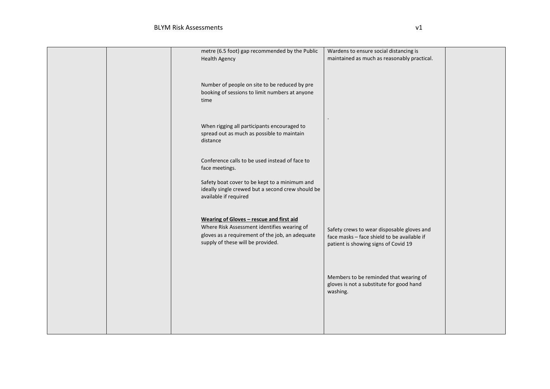|  | metre (6.5 foot) gap recommended by the Public                                                     | Wardens to ensure social distancing is      |  |
|--|----------------------------------------------------------------------------------------------------|---------------------------------------------|--|
|  | <b>Health Agency</b>                                                                               | maintained as much as reasonably practical. |  |
|  |                                                                                                    |                                             |  |
|  |                                                                                                    |                                             |  |
|  | Number of people on site to be reduced by pre                                                      |                                             |  |
|  | booking of sessions to limit numbers at anyone                                                     |                                             |  |
|  | time                                                                                               |                                             |  |
|  |                                                                                                    |                                             |  |
|  |                                                                                                    |                                             |  |
|  |                                                                                                    |                                             |  |
|  | When rigging all participants encouraged to                                                        |                                             |  |
|  | spread out as much as possible to maintain<br>distance                                             |                                             |  |
|  |                                                                                                    |                                             |  |
|  |                                                                                                    |                                             |  |
|  | Conference calls to be used instead of face to                                                     |                                             |  |
|  | face meetings.                                                                                     |                                             |  |
|  |                                                                                                    |                                             |  |
|  | Safety boat cover to be kept to a minimum and<br>ideally single crewed but a second crew should be |                                             |  |
|  | available if required                                                                              |                                             |  |
|  |                                                                                                    |                                             |  |
|  |                                                                                                    |                                             |  |
|  | Wearing of Gloves - rescue and first aid                                                           |                                             |  |
|  | Where Risk Assessment identifies wearing of                                                        | Safety crews to wear disposable gloves and  |  |
|  | gloves as a requirement of the job, an adequate                                                    | face masks - face shield to be available if |  |
|  | supply of these will be provided.                                                                  | patient is showing signs of Covid 19        |  |
|  |                                                                                                    |                                             |  |
|  |                                                                                                    |                                             |  |
|  |                                                                                                    |                                             |  |
|  |                                                                                                    | Members to be reminded that wearing of      |  |
|  |                                                                                                    | gloves is not a substitute for good hand    |  |
|  |                                                                                                    | washing.                                    |  |
|  |                                                                                                    |                                             |  |
|  |                                                                                                    |                                             |  |
|  |                                                                                                    |                                             |  |
|  |                                                                                                    |                                             |  |
|  |                                                                                                    |                                             |  |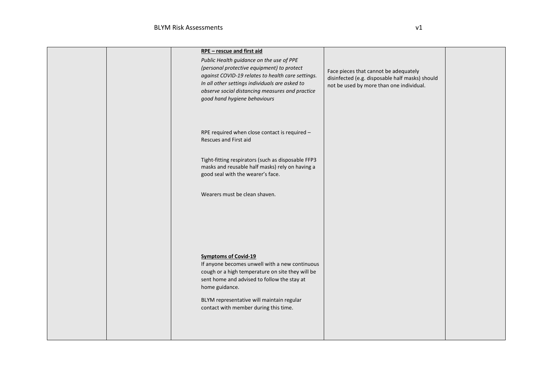|  | RPE - rescue and first aid<br>Public Health guidance on the use of PPE<br>(personal protective equipment) to protect<br>against COVID-19 relates to health care settings.<br>In all other settings individuals are asked to<br>observe social distancing measures and practice<br>good hand hygiene behaviours | Face pieces that cannot be adequately<br>disinfected (e.g. disposable half masks) should<br>not be used by more than one individual. |  |
|--|----------------------------------------------------------------------------------------------------------------------------------------------------------------------------------------------------------------------------------------------------------------------------------------------------------------|--------------------------------------------------------------------------------------------------------------------------------------|--|
|  | RPE required when close contact is required -<br>Rescues and First aid<br>Tight-fitting respirators (such as disposable FFP3<br>masks and reusable half masks) rely on having a<br>good seal with the wearer's face.<br>Wearers must be clean shaven.                                                          |                                                                                                                                      |  |
|  | <b>Symptoms of Covid-19</b><br>If anyone becomes unwell with a new continuous<br>cough or a high temperature on site they will be<br>sent home and advised to follow the stay at<br>home guidance.<br>BLYM representative will maintain regular<br>contact with member during this time.                       |                                                                                                                                      |  |